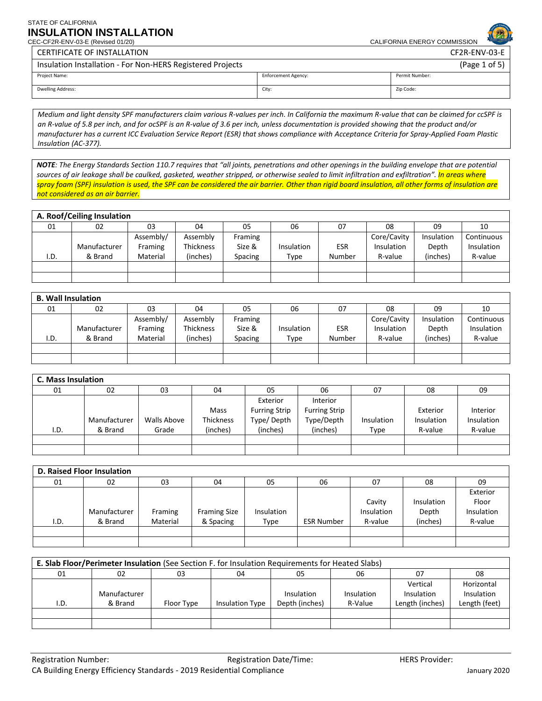CEC-CF2R-ENV-03-E (Revised 01/20) CALIFORNIA ENERGY COMMISSION

CERTIFICATE OF INSTALLATION CF2R-ENV-03-E

| Insulation Installation - For Non-HERS Registered Projects |                            | (Page 1 of 5)  |
|------------------------------------------------------------|----------------------------|----------------|
| Project Name:                                              | <b>Enforcement Agency:</b> | Permit Number: |
| Dwelling Address:                                          | City:                      | Zip Code:      |

*Medium and light density SPF manufacturers claim various R-values per inch. In California the maximum R-value that can be claimed for ccSPF is an R-value of 5.8 per inch, and for ocSPF is an R-value of 3.6 per inch, unless documentation is provided showing that the product and/or manufacturer has a current ICC Evaluation Service Report (ESR) that shows compliance with Acceptance Criteria for Spray-Applied Foam Plastic Insulation (AC-377).* 

 *spray foam (SPF) insulation is used, the SPF can be considered the air barrier. Other than rigid board insulation, all other forms of insulation are NOTE: The Energy Standards Section 110.7 requires that "all joints, penetrations and other openings in the building envelope that are potential sources of air leakage shall be caulked, gasketed, weather stripped, or otherwise sealed to limit infiltration and exfiltration". In areas where not considered as an air barrier.* 

|      | A. Roof/Ceiling Insulation |           |           |         |            |            |             |            |            |
|------|----------------------------|-----------|-----------|---------|------------|------------|-------------|------------|------------|
| 01   | 02                         | 03        | 04        | 05      | 06         | 07         | 08          | 09         | 10         |
|      |                            | Assembly/ | Assembly  | Framing |            |            | Core/Cavity | Insulation | Continuous |
|      | Manufacturer               | Framing   | Thickness | Size &  | Insulation | <b>ESR</b> | Insulation  | Depth      | Insulation |
| I.D. | & Brand                    | Material  | (inches)  | Spacing | Type       | Number     | R-value     | (inches)   | R-value    |
|      |                            |           |           |         |            |            |             |            |            |
|      |                            |           |           |         |            |            |             |            |            |

|      | <b>B. Wall Insulation</b> |           |                  |         |            |            |                   |            |            |
|------|---------------------------|-----------|------------------|---------|------------|------------|-------------------|------------|------------|
| 01   | 02                        | 03        | 04               | 05      | 06         | 07         | 08                | 09         | 10         |
|      |                           | Assembly/ | Assembly         | Framing |            |            | Core/Cavity       | Insulation | Continuous |
|      | Manufacturer              | Framing   | <b>Thickness</b> | Size &  | Insulation | <b>ESR</b> | <b>Insulation</b> | Depth      | Insulation |
| I.D. | & Brand                   | Material  | (inches)         | Spacing | Type       | Number     | R-value           | (inches)   | R-value    |
|      |                           |           |                  |         |            |            |                   |            |            |
|      |                           |           |                  |         |            |            |                   |            |            |

|      | <b>C. Mass Insulation</b> |                    |           |                      |                      |            |            |            |
|------|---------------------------|--------------------|-----------|----------------------|----------------------|------------|------------|------------|
| 01   | 02                        | 03                 | 04        | 05                   | 06                   | 07         | 08         | 09         |
|      |                           |                    |           | Exterior             | Interior             |            |            |            |
|      |                           |                    | Mass      | <b>Furring Strip</b> | <b>Furring Strip</b> |            | Exterior   | Interior   |
|      | Manufacturer              | <b>Walls Above</b> | Thickness | Type/ Depth          | Type/Depth           | Insulation | Insulation | Insulation |
| I.D. | & Brand                   | Grade              | (inches)  | (inches)             | (inches)             | Type       | R-value    | R-value    |
|      |                           |                    |           |                      |                      |            |            |            |
|      |                           |                    |           |                      |                      |            |            |            |

|      | <b>D. Raised Floor Insulation</b> |          |                     |            |                   |                   |            |            |
|------|-----------------------------------|----------|---------------------|------------|-------------------|-------------------|------------|------------|
| 01   | 02                                | 03       | 04                  | 05         | 06                | 07                | 08         | 09         |
|      |                                   |          |                     |            |                   |                   |            | Exterior   |
|      |                                   |          |                     |            |                   | Cavity            | Insulation | Floor      |
|      | Manufacturer                      | Framing  | <b>Framing Size</b> | Insulation |                   | <b>Insulation</b> | Depth      | Insulation |
| I.D. | & Brand                           | Material | & Spacing           | Type       | <b>ESR Number</b> | R-value           | (inches)   | R-value    |
|      |                                   |          |                     |            |                   |                   |            |            |
|      |                                   |          |                     |            |                   |                   |            |            |

|      | E. Slab Floor/Perimeter Insulation (See Section F. for Insulation Requirements for Heated Slabs) |            |                        |                |            |                 |               |
|------|--------------------------------------------------------------------------------------------------|------------|------------------------|----------------|------------|-----------------|---------------|
| 01   | 02                                                                                               | 03         | 04                     | 05             | 06         | -07             | 08            |
|      |                                                                                                  |            |                        |                |            | Vertical        | Horizontal    |
|      | Manufacturer                                                                                     |            |                        | Insulation     | Insulation | Insulation      | Insulation    |
| I.D. | & Brand                                                                                          | Floor Type | <b>Insulation Type</b> | Depth (inches) | R-Value    | Length (inches) | Length (feet) |
|      |                                                                                                  |            |                        |                |            |                 |               |
|      |                                                                                                  |            |                        |                |            |                 |               |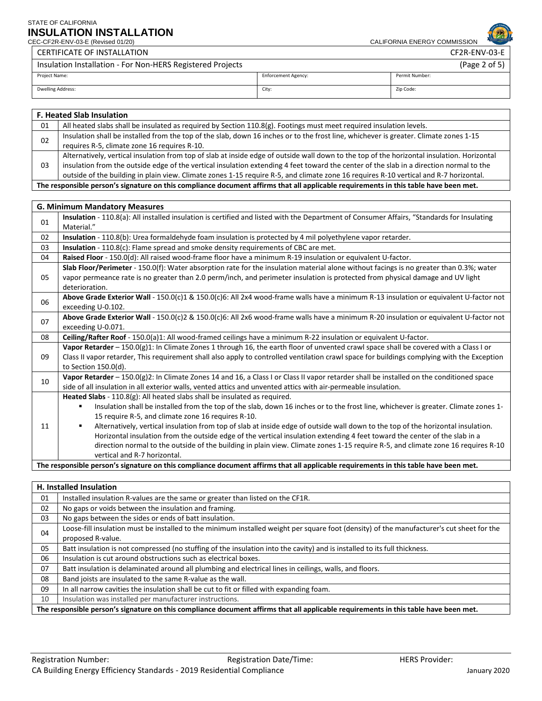CERTIFICATE OF INSTALLATION CF2R-ENV-03-E

CEC-CF2R-ENV-03-E (Revised 01/20) CALIFORNIA ENERGY COMMISSION

| Insulation Installation - For Non-HERS Registered Projects | (Page 2 of 5)              |                |  |
|------------------------------------------------------------|----------------------------|----------------|--|
| Project Name:                                              | <b>Enforcement Agency:</b> | Permit Number: |  |
| <b>Dwelling Address:</b>                                   | City:                      | Zip Code:      |  |

|                                                                                                                                      | <b>F. Heated Slab Insulation</b>                                                                                                            |  |  |  |  |
|--------------------------------------------------------------------------------------------------------------------------------------|---------------------------------------------------------------------------------------------------------------------------------------------|--|--|--|--|
| 01                                                                                                                                   | All heated slabs shall be insulated as required by Section $110.8(g)$ . Footings must meet required insulation levels.                      |  |  |  |  |
| 02                                                                                                                                   | Insulation shall be installed from the top of the slab, down 16 inches or to the frost line, whichever is greater. Climate zones 1-15       |  |  |  |  |
|                                                                                                                                      | requires R-5, climate zone 16 requires R-10.                                                                                                |  |  |  |  |
|                                                                                                                                      | Alternatively, vertical insulation from top of slab at inside edge of outside wall down to the top of the horizontal insulation. Horizontal |  |  |  |  |
| 03                                                                                                                                   | insulation from the outside edge of the vertical insulation extending 4 feet toward the center of the slab in a direction normal to the     |  |  |  |  |
|                                                                                                                                      | outside of the building in plain view. Climate zones 1-15 require R-5, and climate zone 16 requires R-10 vertical and R-7 horizontal.       |  |  |  |  |
| The responsible person's signature on this compliance document affirms that all applicable requirements in this table have been met. |                                                                                                                                             |  |  |  |  |

|    | <b>G. Minimum Mandatory Measures</b>                                                                                                                                                                                                                                                                                                                                                                                                                                                                                                                                                                                                                                                                                   |
|----|------------------------------------------------------------------------------------------------------------------------------------------------------------------------------------------------------------------------------------------------------------------------------------------------------------------------------------------------------------------------------------------------------------------------------------------------------------------------------------------------------------------------------------------------------------------------------------------------------------------------------------------------------------------------------------------------------------------------|
| 01 | Insulation - 110.8(a): All installed insulation is certified and listed with the Department of Consumer Affairs, "Standards for Insulating<br>Material."                                                                                                                                                                                                                                                                                                                                                                                                                                                                                                                                                               |
| 02 | Insulation - 110.8(b): Urea formaldehyde foam insulation is protected by 4 mil polyethylene vapor retarder.                                                                                                                                                                                                                                                                                                                                                                                                                                                                                                                                                                                                            |
| 03 | Insulation - 110.8(c): Flame spread and smoke density requirements of CBC are met.                                                                                                                                                                                                                                                                                                                                                                                                                                                                                                                                                                                                                                     |
| 04 | Raised Floor - 150.0(d): All raised wood-frame floor have a minimum R-19 insulation or equivalent U-factor.                                                                                                                                                                                                                                                                                                                                                                                                                                                                                                                                                                                                            |
| 05 | Slab Floor/Perimeter - 150.0(f): Water absorption rate for the insulation material alone without facings is no greater than 0.3%; water<br>vapor permeance rate is no greater than 2.0 perm/inch, and perimeter insulation is protected from physical damage and UV light<br>deterioration.                                                                                                                                                                                                                                                                                                                                                                                                                            |
| 06 | Above Grade Exterior Wall - 150.0(c)1 & 150.0(c)6: All 2x4 wood-frame walls have a minimum R-13 insulation or equivalent U-factor not<br>exceeding U-0.102.                                                                                                                                                                                                                                                                                                                                                                                                                                                                                                                                                            |
| 07 | Above Grade Exterior Wall - 150.0(c)2 & 150.0(c)6: All 2x6 wood-frame walls have a minimum R-20 insulation or equivalent U-factor not<br>exceeding U-0.071.                                                                                                                                                                                                                                                                                                                                                                                                                                                                                                                                                            |
| 08 | Ceiling/Rafter Roof - 150.0(a)1: All wood-framed ceilings have a minimum R-22 insulation or equivalent U-factor.                                                                                                                                                                                                                                                                                                                                                                                                                                                                                                                                                                                                       |
| 09 | Vapor Retarder - 150.0(g)1: In Climate Zones 1 through 16, the earth floor of unvented crawl space shall be covered with a Class I or<br>Class II vapor retarder, This requirement shall also apply to controlled ventilation crawl space for buildings complying with the Exception<br>to Section 150.0(d).                                                                                                                                                                                                                                                                                                                                                                                                           |
| 10 | Vapor Retarder - 150.0(g)2: In Climate Zones 14 and 16, a Class I or Class II vapor retarder shall be installed on the conditioned space<br>side of all insulation in all exterior walls, vented attics and unvented attics with air-permeable insulation.                                                                                                                                                                                                                                                                                                                                                                                                                                                             |
| 11 | Heated Slabs - 110.8(g): All heated slabs shall be insulated as required.<br>Insulation shall be installed from the top of the slab, down 16 inches or to the frost line, whichever is greater. Climate zones 1-<br>٠<br>15 require R-5, and climate zone 16 requires R-10.<br>Alternatively, vertical insulation from top of slab at inside edge of outside wall down to the top of the horizontal insulation.<br>٠<br>Horizontal insulation from the outside edge of the vertical insulation extending 4 feet toward the center of the slab in a<br>direction normal to the outside of the building in plain view. Climate zones 1-15 require R-5, and climate zone 16 requires R-10<br>vertical and R-7 horizontal. |
|    | The responsible person's signature on this compliance document affirms that all applicable requirements in this table have been met.                                                                                                                                                                                                                                                                                                                                                                                                                                                                                                                                                                                   |

### **H. Installed Insulation**

| 01 | Installed insulation R-values are the same or greater than listed on the CF1R.                                                            |
|----|-------------------------------------------------------------------------------------------------------------------------------------------|
| 02 | No gaps or voids between the insulation and framing.                                                                                      |
| 03 | No gaps between the sides or ends of batt insulation.                                                                                     |
| 04 | Loose-fill insulation must be installed to the minimum installed weight per square foot (density) of the manufacturer's cut sheet for the |
|    | proposed R-value.                                                                                                                         |
| 05 | Batt insulation is not compressed (no stuffing of the insulation into the cavity) and is installed to its full thickness.                 |
| 06 | Insulation is cut around obstructions such as electrical boxes.                                                                           |
| 07 | Batt insulation is delaminated around all plumbing and electrical lines in ceilings, walls, and floors.                                   |
| 08 | Band joists are insulated to the same R-value as the wall.                                                                                |
| 09 | In all narrow cavities the insulation shall be cut to fit or filled with expanding foam.                                                  |
| 10 | Insulation was installed per manufacturer instructions.                                                                                   |
|    | The responsible person's signature on this compliance document affirms that all applicable requirements in this table have been met.      |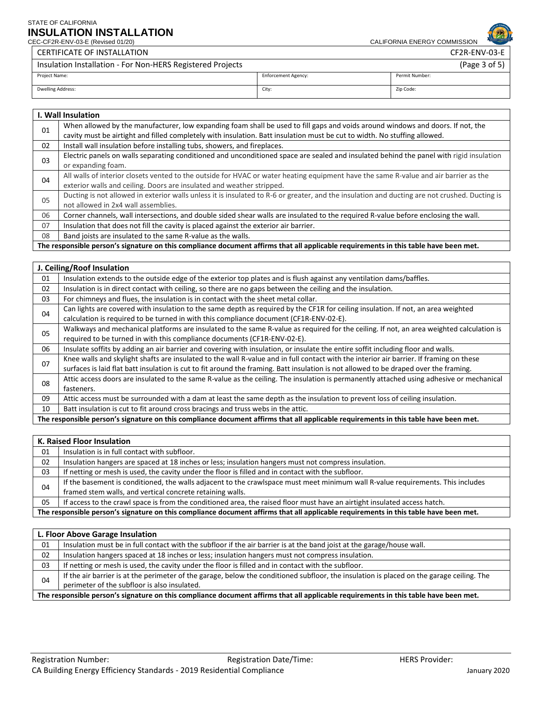CERTIFICATE OF INSTALLATION CF2R-ENV-03-E

CEC-CF2R-ENV-03-E (Revised 01/20) CALIFORNIA ENERGY COMMISSION

| Insulation Installation - For Non-HERS Registered Projects |                            | (Page $3$ of $5$ ) |
|------------------------------------------------------------|----------------------------|--------------------|
| Project Name:                                              | <b>Enforcement Agency:</b> | Permit Number:     |
| <b>Dwelling Address:</b>                                   | City:                      | Zip Code:          |

|    | I. Wall Insulation                                                                                                                            |
|----|-----------------------------------------------------------------------------------------------------------------------------------------------|
| 01 | When allowed by the manufacturer, low expanding foam shall be used to fill gaps and voids around windows and doors. If not, the               |
|    | cavity must be airtight and filled completely with insulation. Batt insulation must be cut to width. No stuffing allowed.                     |
| 02 | Install wall insulation before installing tubs, showers, and fireplaces.                                                                      |
| 03 | Electric panels on walls separating conditioned and unconditioned space are sealed and insulated behind the panel with rigid insulation       |
|    | or expanding foam.                                                                                                                            |
| 04 | All walls of interior closets vented to the outside for HVAC or water heating equipment have the same R-value and air barrier as the          |
|    | exterior walls and ceiling. Doors are insulated and weather stripped.                                                                         |
| 05 | Ducting is not allowed in exterior walls unless it is insulated to R-6 or greater, and the insulation and ducting are not crushed. Ducting is |
|    | not allowed in 2x4 wall assemblies.                                                                                                           |
| 06 | Corner channels, wall intersections, and double sided shear walls are insulated to the required R-value before enclosing the wall.            |
| 07 | Insulation that does not fill the cavity is placed against the exterior air barrier.                                                          |
| 08 | Band joists are insulated to the same R-value as the walls.                                                                                   |
|    |                                                                                                                                               |

**The responsible person's signature on this compliance document affirms that all applicable requirements in this table have been met.** 

|    | J. Ceiling/Roof Insulation                                                                                                                                                                                                                                                       |
|----|----------------------------------------------------------------------------------------------------------------------------------------------------------------------------------------------------------------------------------------------------------------------------------|
| 01 | Insulation extends to the outside edge of the exterior top plates and is flush against any ventilation dams/baffles.                                                                                                                                                             |
| 02 | Insulation is in direct contact with ceiling, so there are no gaps between the ceiling and the insulation.                                                                                                                                                                       |
| 03 | For chimneys and flues, the insulation is in contact with the sheet metal collar.                                                                                                                                                                                                |
| 04 | Can lights are covered with insulation to the same depth as required by the CF1R for ceiling insulation. If not, an area weighted<br>calculation is required to be turned in with this compliance document (CF1R-ENV-02-E).                                                      |
| 05 | Walkways and mechanical platforms are insulated to the same R-value as required for the ceiling. If not, an area weighted calculation is<br>required to be turned in with this compliance documents (CF1R-ENV-02-E).                                                             |
| 06 | Insulate soffits by adding an air barrier and covering with insulation, or insulate the entire soffit including floor and walls.                                                                                                                                                 |
| 07 | Knee walls and skylight shafts are insulated to the wall R-value and in full contact with the interior air barrier. If framing on these<br>surfaces is laid flat batt insulation is cut to fit around the framing. Batt insulation is not allowed to be draped over the framing. |
| 08 | Attic access doors are insulated to the same R-value as the ceiling. The insulation is permanently attached using adhesive or mechanical<br>fasteners.                                                                                                                           |
| 09 | Attic access must be surrounded with a dam at least the same depth as the insulation to prevent loss of ceiling insulation.                                                                                                                                                      |
| 10 | Batt insulation is cut to fit around cross bracings and truss webs in the attic.                                                                                                                                                                                                 |
|    | The responsible person's signature on this compliance document affirms that all applicable requirements in this table have been met.                                                                                                                                             |

|                                                                                                                                      | K. Raised Floor Insulation                                                                                                      |  |  |
|--------------------------------------------------------------------------------------------------------------------------------------|---------------------------------------------------------------------------------------------------------------------------------|--|--|
| 01                                                                                                                                   | Insulation is in full contact with subfloor.                                                                                    |  |  |
| 02                                                                                                                                   | Insulation hangers are spaced at 18 inches or less; insulation hangers must not compress insulation.                            |  |  |
| 03                                                                                                                                   | If netting or mesh is used, the cavity under the floor is filled and in contact with the subfloor.                              |  |  |
| 04                                                                                                                                   | If the basement is conditioned, the walls adjacent to the crawlspace must meet minimum wall R-value requirements. This includes |  |  |
|                                                                                                                                      | framed stem walls, and vertical concrete retaining walls.                                                                       |  |  |
| 05                                                                                                                                   | If access to the crawl space is from the conditioned area, the raised floor must have an airtight insulated access hatch.       |  |  |
| The responsible person's signature on this compliance document affirms that all applicable requirements in this table have been met. |                                                                                                                                 |  |  |

| L. Floor Above Garage Insulation                                                                                                     |                                                                                                                                           |  |
|--------------------------------------------------------------------------------------------------------------------------------------|-------------------------------------------------------------------------------------------------------------------------------------------|--|
| 01                                                                                                                                   | Insulation must be in full contact with the subfloor if the air barrier is at the band joist at the garage/house wall.                    |  |
| 02                                                                                                                                   | Insulation hangers spaced at 18 inches or less; insulation hangers must not compress insulation.                                          |  |
| 03                                                                                                                                   | If netting or mesh is used, the cavity under the floor is filled and in contact with the subfloor.                                        |  |
| 04                                                                                                                                   | If the air barrier is at the perimeter of the garage, below the conditioned subfloor, the insulation is placed on the garage ceiling. The |  |
|                                                                                                                                      | perimeter of the subfloor is also insulated.                                                                                              |  |
| The responsible person's signature on this compliance document affirms that all applicable requirements in this table have been met. |                                                                                                                                           |  |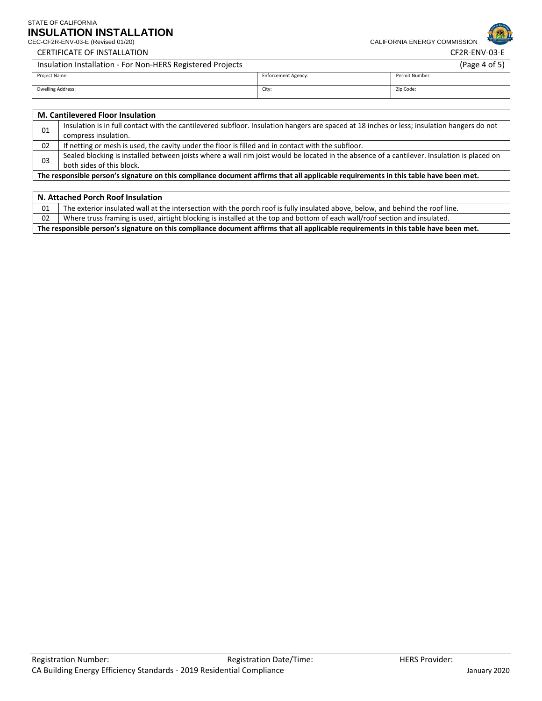CEC-CF2R-ENV-03-E (Revised 01/20) CALIFORNIA ENERGY COMMISSION

|                                                            | <b>CERTIFICATE OF INSTALLATION</b> |                            | CF2R-ENV-03-E  |
|------------------------------------------------------------|------------------------------------|----------------------------|----------------|
| Insulation Installation - For Non-HERS Registered Projects |                                    |                            | (Page 4 of 5)  |
|                                                            | Project Name:                      | <b>Enforcement Agency:</b> | Permit Number: |
|                                                            | Dwelling Address:                  | City:                      | Zip Code:      |

|                                                                                                                                      | <b>M. Cantilevered Floor Insulation</b>                                                                                                     |
|--------------------------------------------------------------------------------------------------------------------------------------|---------------------------------------------------------------------------------------------------------------------------------------------|
| 01                                                                                                                                   | Insulation is in full contact with the cantilevered subfloor. Insulation hangers are spaced at 18 inches or less; insulation hangers do not |
|                                                                                                                                      | compress insulation.                                                                                                                        |
| 02                                                                                                                                   | If netting or mesh is used, the cavity under the floor is filled and in contact with the subfloor.                                          |
| 03                                                                                                                                   | Sealed blocking is installed between joists where a wall rim joist would be located in the absence of a cantilever. Insulation is placed on |
|                                                                                                                                      | both sides of this block.                                                                                                                   |
| The responsible person's signature on this compliance document affirms that all applicable requirements in this table have been met. |                                                                                                                                             |

| N. Attached Porch Roof Insulation |                                                                                                                                |  |
|-----------------------------------|--------------------------------------------------------------------------------------------------------------------------------|--|
| 01                                | The exterior insulated wall at the intersection with the porch roof is fully insulated above, below, and behind the roof line. |  |
| 02                                | Where truss framing is used, airtight blocking is installed at the top and bottom of each wall/roof section and insulated.     |  |
|                                   |                                                                                                                                |  |

**The responsible person's signature on this compliance document affirms that all applicable requirements in this table have been met.**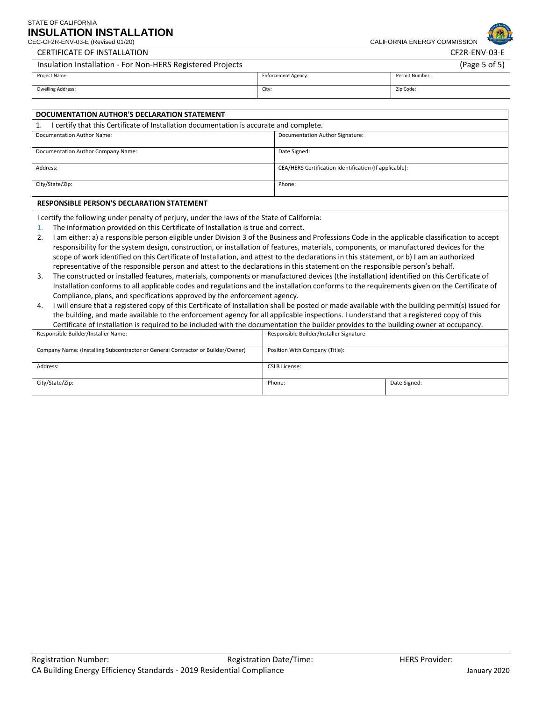### CEC-CF2R-ENV-03-E (Revised 01/20) STATE OF CALIFORNIA **INSULATION INSTALLATION**

CALIFORNIA ENERGY COMMISSION

CERTIFICATE OF INSTALLATION CF2R-ENV-03-E

| Insulation Installation - For Non-HERS Registered Projects |                            | (Page 5 of 5)  |
|------------------------------------------------------------|----------------------------|----------------|
| Project Name:                                              | <b>Enforcement Agency:</b> | Permit Number: |
| Dwelling Address:                                          | City:                      | Zip Code:      |

| DOCUMENTATION AUTHOR'S DECLARATION STATEMENT                                                                                                    |                                                                                                                                                   |  |  |
|-------------------------------------------------------------------------------------------------------------------------------------------------|---------------------------------------------------------------------------------------------------------------------------------------------------|--|--|
| I certify that this Certificate of Installation documentation is accurate and complete.<br>1.                                                   |                                                                                                                                                   |  |  |
| <b>Documentation Author Name:</b>                                                                                                               | Documentation Author Signature:                                                                                                                   |  |  |
|                                                                                                                                                 |                                                                                                                                                   |  |  |
| Documentation Author Company Name:                                                                                                              | Date Signed:                                                                                                                                      |  |  |
| Address:                                                                                                                                        | CEA/HERS Certification Identification (If applicable):                                                                                            |  |  |
| City/State/Zip:                                                                                                                                 | Phone:                                                                                                                                            |  |  |
| <b>RESPONSIBLE PERSON'S DECLARATION STATEMENT</b>                                                                                               |                                                                                                                                                   |  |  |
| I certify the following under penalty of perjury, under the laws of the State of California:                                                    |                                                                                                                                                   |  |  |
| 1.                                                                                                                                              | The information provided on this Certificate of Installation is true and correct.                                                                 |  |  |
| 2.                                                                                                                                              | I am either: a) a responsible person eligible under Division 3 of the Business and Professions Code in the applicable classification to accept    |  |  |
| responsibility for the system design, construction, or installation of features, materials, components, or manufactured devices for the         |                                                                                                                                                   |  |  |
| scope of work identified on this Certificate of Installation, and attest to the declarations in this statement, or b) I am an authorized        |                                                                                                                                                   |  |  |
| representative of the responsible person and attest to the declarations in this statement on the responsible person's behalf.                   |                                                                                                                                                   |  |  |
| The constructed or installed features, materials, components or manufactured devices (the installation) identified on this Certificate of<br>3. |                                                                                                                                                   |  |  |
| Installation conforms to all applicable codes and regulations and the installation conforms to the requirements given on the Certificate of     |                                                                                                                                                   |  |  |
| Compliance, plans, and specifications approved by the enforcement agency.                                                                       |                                                                                                                                                   |  |  |
| 4.                                                                                                                                              | I will ensure that a registered copy of this Certificate of Installation shall be posted or made available with the building permit(s) issued for |  |  |
| the building, and made available to the enforcement agency for all applicable inspections. I understand that a registered copy of this          |                                                                                                                                                   |  |  |
| Certificate of Installation is required to be included with the documentation the builder provides to the building owner at occupancy.          |                                                                                                                                                   |  |  |

| Responsible Builder/Installer Name:                                             | Responsible Builder/Installer Signature: |              |
|---------------------------------------------------------------------------------|------------------------------------------|--------------|
| Company Name: (Installing Subcontractor or General Contractor or Builder/Owner) | Position With Company (Title):           |              |
| Address:                                                                        | <b>CSLB License:</b>                     |              |
| City/State/Zip:                                                                 | Phone:                                   | Date Signed: |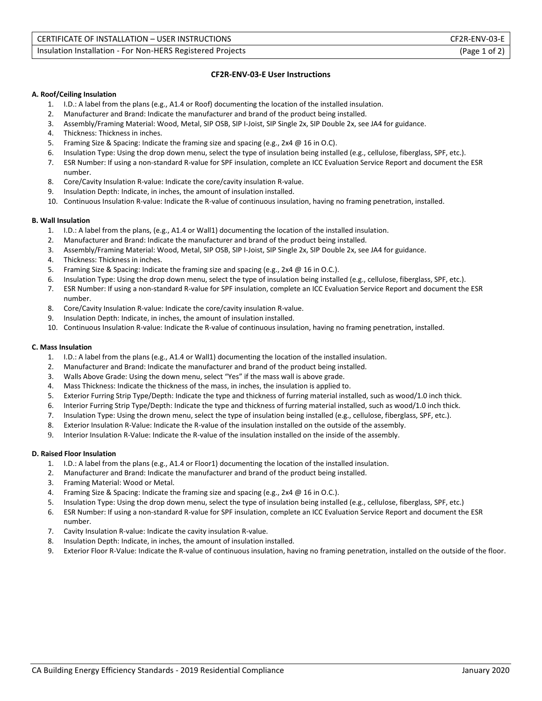#### **CF2R-ENV-03-E User Instructions**

#### **A. Roof/Ceiling Insulation**

- 1. I.D.: A label from the plans (e.g., A1.4 or Roof) documenting the location of the installed insulation.
- 2. Manufacturer and Brand: Indicate the manufacturer and brand of the product being installed.
- 3. Assembly/Framing Material: Wood, Metal, SIP OSB, SIP I-Joist, SIP Single 2x, SIP Double 2x, see JA4 for guidance.
- 4. Thickness: Thickness in inches.
- 5. Framing Size & Spacing: Indicate the framing size and spacing (e.g., 2x4 @ 16 in O.C).
- 6. Insulation Type: Using the drop down menu, select the type of insulation being installed (e.g., cellulose, fiberglass, SPF, etc.).
- 7. ESR Number: If using a non-standard R-value for SPF insulation, complete an ICC Evaluation Service Report and document the ESR number.
- 8. Core/Cavity Insulation R-value: Indicate the core/cavity insulation R-value.
- 9. Insulation Depth: Indicate, in inches, the amount of insulation installed.
- 10. Continuous Insulation R-value: Indicate the R-value of continuous insulation, having no framing penetration, installed.

#### **B. Wall Insulation**

- 1. I.D.: A label from the plans, (e.g., A1.4 or Wall1) documenting the location of the installed insulation.
- 2. Manufacturer and Brand: Indicate the manufacturer and brand of the product being installed.
- 3. Assembly/Framing Material: Wood, Metal, SIP OSB, SIP I-Joist, SIP Single 2x, SIP Double 2x, see JA4 for guidance.
- 4. Thickness: Thickness in inches.
- 5. Framing Size & Spacing: Indicate the framing size and spacing (e.g., 2x4 @ 16 in O.C.).
- 6. Insulation Type: Using the drop down menu, select the type of insulation being installed (e.g., cellulose, fiberglass, SPF, etc.).
- 7. ESR Number: If using a non-standard R-value for SPF insulation, complete an ICC Evaluation Service Report and document the ESR number.
- 8. Core/Cavity Insulation R-value: Indicate the core/cavity insulation R-value.
- 9. Insulation Depth: Indicate, in inches, the amount of insulation installed.
- 10. Continuous Insulation R-value: Indicate the R-value of continuous insulation, having no framing penetration, installed.

#### **C. Mass Insulation**

- 1. I.D.: A label from the plans (e.g., A1.4 or Wall1) documenting the location of the installed insulation.
- 2. Manufacturer and Brand: Indicate the manufacturer and brand of the product being installed.
- 3. Walls Above Grade: Using the down menu, select "Yes" if the mass wall is above grade.
- 4. Mass Thickness: Indicate the thickness of the mass, in inches, the insulation is applied to.
- 5. Exterior Furring Strip Type/Depth: Indicate the type and thickness of furring material installed, such as wood/1.0 inch thick.
- 6. Interior Furring Strip Type/Depth: Indicate the type and thickness of furring material installed, such as wood/1.0 inch thick.
- 7. Insulation Type: Using the drown menu, select the type of insulation being installed (e.g., cellulose, fiberglass, SPF, etc.).
- 8. Exterior Insulation R-Value: Indicate the R-value of the insulation installed on the outside of the assembly.
- 9. Interior Insulation R-Value: Indicate the R-value of the insulation installed on the inside of the assembly.

#### **D. Raised Floor Insulation**

- 1. I.D.: A label from the plans (e.g., A1.4 or Floor1) documenting the location of the installed insulation.
- 2. Manufacturer and Brand: Indicate the manufacturer and brand of the product being installed.
- 3. Framing Material: Wood or Metal.
- 4. Framing Size & Spacing: Indicate the framing size and spacing (e.g., 2x4 @ 16 in O.C.).
- 5. Insulation Type: Using the drop down menu, select the type of insulation being installed (e.g., cellulose, fiberglass, SPF, etc.)
- 6. ESR Number: If using a non-standard R-value for SPF insulation, complete an ICC Evaluation Service Report and document the ESR number.
- 7. Cavity Insulation R-value: Indicate the cavity insulation R-value.
- 8. Insulation Depth: Indicate, in inches, the amount of insulation installed.
- 9. Exterior Floor R-Value: Indicate the R-value of continuous insulation, having no framing penetration, installed on the outside of the floor.